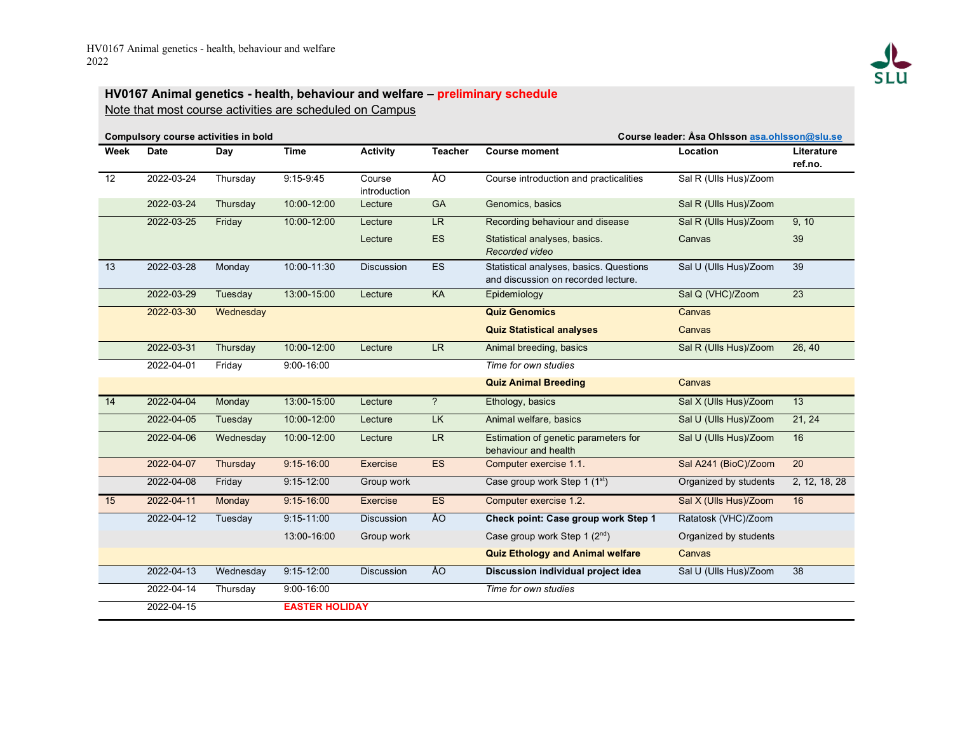

## **HV0167 Animal genetics - health, behaviour and welfare – preliminary schedule** Note that most course activities are scheduled on Campus

| Compulsory course activities in bold |             |           |                       |                        |                | Course leader: Asa Ohlsson asa.ohlsson@slu.se                                  |                       |                       |  |
|--------------------------------------|-------------|-----------|-----------------------|------------------------|----------------|--------------------------------------------------------------------------------|-----------------------|-----------------------|--|
| Week                                 | <b>Date</b> | Day       | <b>Time</b>           | <b>Activity</b>        | <b>Teacher</b> | <b>Course moment</b>                                                           | Location              | Literature<br>ref.no. |  |
| 12                                   | 2022-03-24  | Thursday  | $9:15-9:45$           | Course<br>introduction | ÅO             | Course introduction and practicalities                                         | Sal R (Ulls Hus)/Zoom |                       |  |
|                                      | 2022-03-24  | Thursday  | 10:00-12:00           | Lecture                | GA             | Genomics, basics                                                               | Sal R (Ulls Hus)/Zoom |                       |  |
|                                      | 2022-03-25  | Friday    | 10:00-12:00           | Lecture                | LR             | Recording behaviour and disease                                                | Sal R (Ulls Hus)/Zoom | 9, 10                 |  |
|                                      |             |           |                       | Lecture                | <b>ES</b>      | Statistical analyses, basics.<br>Recorded video                                | Canvas                | 39                    |  |
| 13                                   | 2022-03-28  | Monday    | 10:00-11:30           | <b>Discussion</b>      | <b>ES</b>      | Statistical analyses, basics. Questions<br>and discussion on recorded lecture. | Sal U (Ulls Hus)/Zoom | 39                    |  |
|                                      | 2022-03-29  | Tuesday   | 13:00-15:00           | Lecture                | KA             | Epidemiology                                                                   | Sal Q (VHC)/Zoom      | 23                    |  |
|                                      | 2022-03-30  | Wednesday |                       |                        |                | <b>Quiz Genomics</b>                                                           | Canvas                |                       |  |
|                                      |             |           |                       |                        |                | <b>Quiz Statistical analyses</b>                                               | Canvas                |                       |  |
|                                      | 2022-03-31  | Thursday  | 10:00-12:00           | Lecture                | LR.            | Animal breeding, basics                                                        | Sal R (Ulls Hus)/Zoom | 26, 40                |  |
|                                      | 2022-04-01  | Friday    | $9:00 - 16:00$        |                        |                | Time for own studies                                                           |                       |                       |  |
|                                      |             |           |                       |                        |                | <b>Quiz Animal Breeding</b>                                                    | Canvas                |                       |  |
| 14                                   | 2022-04-04  | Monday    | 13:00-15:00           | Lecture                | $\overline{?}$ | Ethology, basics                                                               | Sal X (Ulls Hus)/Zoom | 13                    |  |
|                                      | 2022-04-05  | Tuesday   | 10:00-12:00           | Lecture                | <b>LK</b>      | Animal welfare, basics                                                         | Sal U (Ulls Hus)/Zoom | 21, 24                |  |
|                                      | 2022-04-06  | Wednesday | 10:00-12:00           | Lecture                | LR.            | Estimation of genetic parameters for<br>behaviour and health                   | Sal U (Ulls Hus)/Zoom | 16                    |  |
|                                      | 2022-04-07  | Thursday  | $9:15 - 16:00$        | Exercise               | <b>ES</b>      | Computer exercise 1.1.                                                         | Sal A241 (BioC)/Zoom  | 20                    |  |
|                                      | 2022-04-08  | Friday    | $9:15 - 12:00$        | Group work             |                | Case group work Step 1 (1st)                                                   | Organized by students | 2, 12, 18, 28         |  |
| 15                                   | 2022-04-11  | Monday    | $9:15 - 16:00$        | Exercise               | ES             | Computer exercise 1.2.                                                         | Sal X (Ulls Hus)/Zoom | 16                    |  |
|                                      | 2022-04-12  | Tuesday   | $9:15 - 11:00$        | <b>Discussion</b>      | ÅO             | Check point: Case group work Step 1                                            | Ratatosk (VHC)/Zoom   |                       |  |
|                                      |             |           | 13:00-16:00           | Group work             |                | Case group work Step 1 $(2^{nd})$                                              | Organized by students |                       |  |
|                                      |             |           |                       |                        |                | <b>Quiz Ethology and Animal welfare</b>                                        | Canvas                |                       |  |
|                                      | 2022-04-13  | Wednesday | $9:15 - 12:00$        | <b>Discussion</b>      | ÅO             | Discussion individual project idea                                             | Sal U (Ulls Hus)/Zoom | 38                    |  |
|                                      | 2022-04-14  | Thursday  | $9:00 - 16:00$        |                        |                | Time for own studies                                                           |                       |                       |  |
|                                      | 2022-04-15  |           | <b>EASTER HOLIDAY</b> |                        |                |                                                                                |                       |                       |  |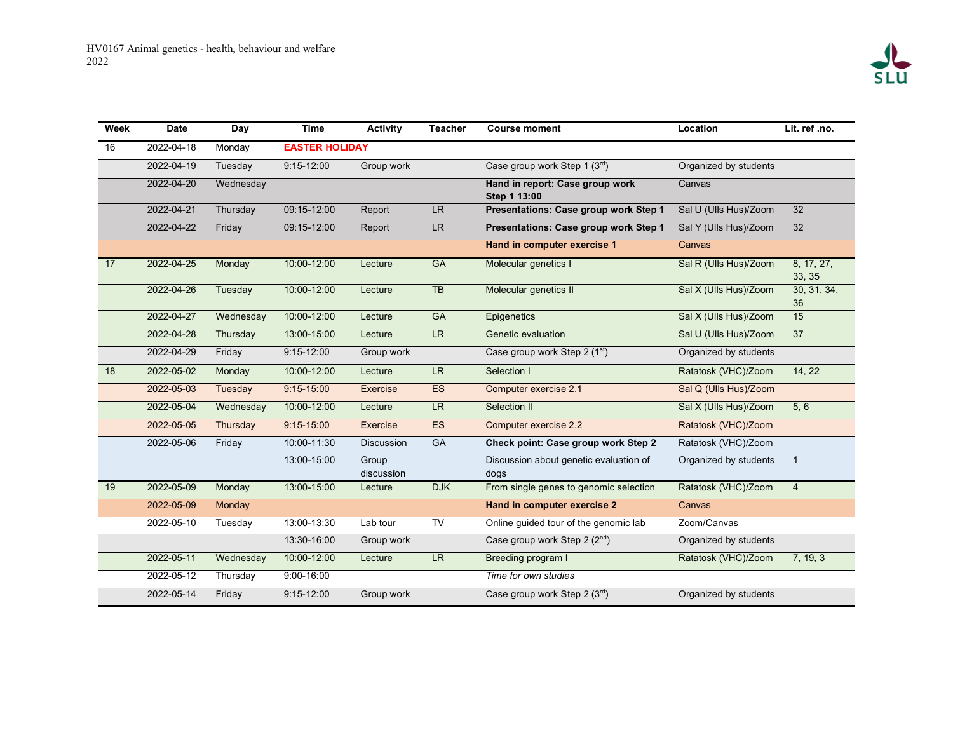| Week | <b>Date</b> | Day       | <b>Time</b>           | <b>Activity</b>     | <b>Teacher</b>         | <b>Course moment</b>                            | Location              | Lit. ref .no.        |
|------|-------------|-----------|-----------------------|---------------------|------------------------|-------------------------------------------------|-----------------------|----------------------|
| 16   | 2022-04-18  | Monday    | <b>EASTER HOLIDAY</b> |                     |                        |                                                 |                       |                      |
|      | 2022-04-19  | Tuesday   | $9:15 - 12:00$        | Group work          |                        | Case group work Step 1 (3rd)                    | Organized by students |                      |
|      | 2022-04-20  | Wednesday |                       |                     |                        | Hand in report: Case group work<br>Step 1 13:00 | Canvas                |                      |
|      | 2022-04-21  | Thursday  | 09:15-12:00           | Report              | LR                     | Presentations: Case group work Step 1           | Sal U (Ulls Hus)/Zoom | $\overline{32}$      |
|      | 2022-04-22  | Friday    | 09:15-12:00           | Report              | LR                     | Presentations: Case group work Step 1           | Sal Y (Ulls Hus)/Zoom | 32                   |
|      |             |           |                       |                     |                        | Hand in computer exercise 1                     | Canvas                |                      |
| 17   | 2022-04-25  | Monday    | 10:00-12:00           | Lecture             | <b>GA</b>              | Molecular genetics I                            | Sal R (Ulls Hus)/Zoom | 8, 17, 27,<br>33, 35 |
|      | 2022-04-26  | Tuesday   | 10:00-12:00           | Lecture             | $\overline{AB}$        | Molecular genetics II                           | Sal X (Ulls Hus)/Zoom | 30, 31, 34,<br>36    |
|      | 2022-04-27  | Wednesday | 10:00-12:00           | Lecture             | GA                     | Epigenetics                                     | Sal X (Ulls Hus)/Zoom | 15                   |
|      | 2022-04-28  | Thursday  | 13:00-15:00           | Lecture             | LR                     | Genetic evaluation                              | Sal U (Ulls Hus)/Zoom | $\overline{37}$      |
|      | 2022-04-29  | Friday    | $9:15 - 12:00$        | Group work          |                        | Case group work Step 2 (1st)                    | Organized by students |                      |
| 18   | 2022-05-02  | Monday    | 10:00-12:00           | Lecture             | LR.                    | Selection I                                     | Ratatosk (VHC)/Zoom   | 14, 22               |
|      | 2022-05-03  | Tuesday   | $9:15 - 15:00$        | <b>Exercise</b>     | <b>ES</b>              | Computer exercise 2.1                           | Sal Q (Ulls Hus)/Zoom |                      |
|      | 2022-05-04  | Wednesday | 10:00-12:00           | Lecture             | LR                     | Selection II                                    | Sal X (Ulls Hus)/Zoom | 5, 6                 |
|      | 2022-05-05  | Thursday  | $9:15 - 15:00$        | Exercise            | ES                     | Computer exercise 2.2                           | Ratatosk (VHC)/Zoom   |                      |
|      | 2022-05-06  | Friday    | 10:00-11:30           | <b>Discussion</b>   | <b>GA</b>              | Check point: Case group work Step 2             | Ratatosk (VHC)/Zoom   |                      |
|      |             |           | 13:00-15:00           | Group<br>discussion |                        | Discussion about genetic evaluation of<br>dogs  | Organized by students | 1                    |
| 19   | 2022-05-09  | Monday    | 13:00-15:00           | Lecture             | <b>DJK</b>             | From single genes to genomic selection          | Ratatosk (VHC)/Zoom   | $\overline{4}$       |
|      | 2022-05-09  | Monday    |                       |                     |                        | Hand in computer exercise 2                     | Canvas                |                      |
|      | 2022-05-10  | Tuesday   | 13:00-13:30           | Lab tour            | $\overline{\text{TV}}$ | Online guided tour of the genomic lab           | Zoom/Canvas           |                      |
|      |             |           | 13:30-16:00           | Group work          |                        | Case group work Step 2 $(2^{nd})$               | Organized by students |                      |
|      | 2022-05-11  | Wednesday | 10:00-12:00           | Lecture             | LR                     | Breeding program I                              | Ratatosk (VHC)/Zoom   | 7, 19, 3             |
|      | 2022-05-12  | Thursday  | $9:00 - 16:00$        |                     |                        | Time for own studies                            |                       |                      |
|      | 2022-05-14  | Friday    | $9:15 - 12:00$        | Group work          |                        | Case group work Step 2 (3rd)                    | Organized by students |                      |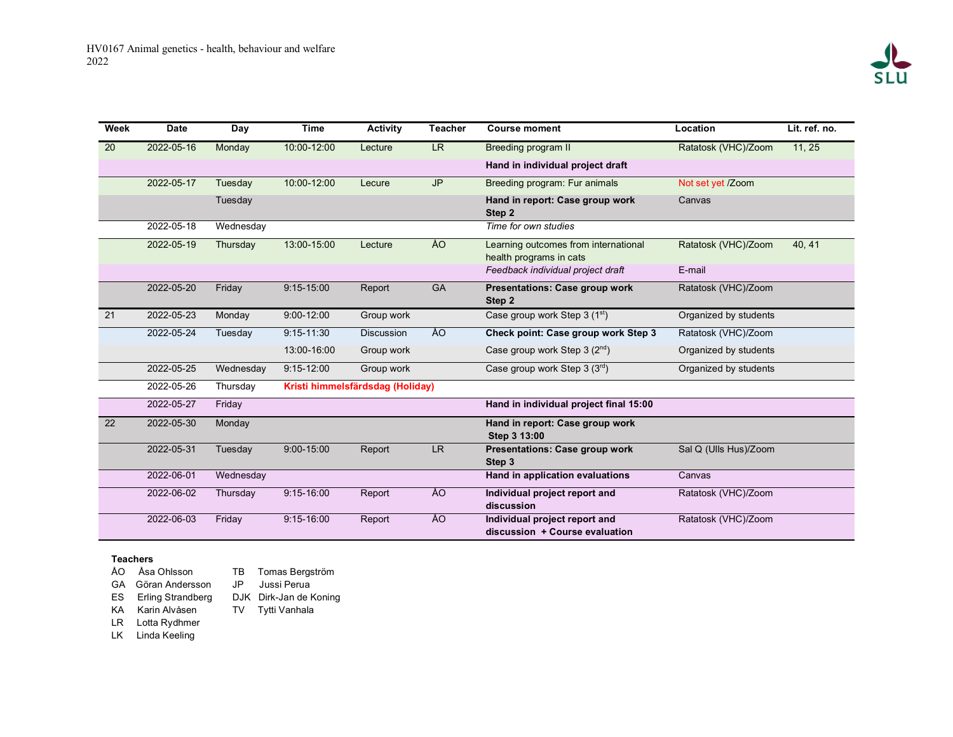| Week            | <b>Date</b> | Day       | <b>Time</b>                      | <b>Activity</b>   | <b>Teacher</b> | <b>Course moment</b>                                            | Location              | Lit. ref. no. |
|-----------------|-------------|-----------|----------------------------------|-------------------|----------------|-----------------------------------------------------------------|-----------------------|---------------|
| 20              | 2022-05-16  | Monday    | 10:00-12:00                      | Lecture           | LR.            | Breeding program II                                             | Ratatosk (VHC)/Zoom   | 11, 25        |
|                 |             |           |                                  |                   |                | Hand in individual project draft                                |                       |               |
|                 | 2022-05-17  | Tuesday   | 10:00-12:00                      | Lecure            | <b>JP</b>      | Breeding program: Fur animals                                   | Not set yet /Zoom     |               |
|                 |             | Tuesday   |                                  |                   |                | Hand in report: Case group work<br>Step 2                       | Canvas                |               |
|                 | 2022-05-18  | Wednesday |                                  |                   |                | Time for own studies                                            |                       |               |
|                 | 2022-05-19  | Thursday  | 13:00-15:00                      | Lecture           | ÅO             | Learning outcomes from international<br>health programs in cats | Ratatosk (VHC)/Zoom   | 40, 41        |
|                 |             |           |                                  |                   |                | Feedback individual project draft                               | E-mail                |               |
|                 | 2022-05-20  | Friday    | $9:15 - 15:00$                   | Report            | GA             | <b>Presentations: Case group work</b><br>Step 2                 | Ratatosk (VHC)/Zoom   |               |
| 21              | 2022-05-23  | Monday    | $9:00 - 12:00$                   | Group work        |                | Case group work Step 3 (1 <sup>st</sup> )                       | Organized by students |               |
|                 | 2022-05-24  | Tuesday   | $9:15 - 11:30$                   | <b>Discussion</b> | ÅO             | Check point: Case group work Step 3                             | Ratatosk (VHC)/Zoom   |               |
|                 |             |           | 13:00-16:00                      | Group work        |                | Case group work Step $3(2^{nd})$                                | Organized by students |               |
|                 | 2022-05-25  | Wednesday | $9:15 - 12:00$                   | Group work        |                | Case group work Step $3(3^{rd})$                                | Organized by students |               |
|                 | 2022-05-26  | Thursday  | Kristi himmelsfärdsdag (Holiday) |                   |                |                                                                 |                       |               |
|                 | 2022-05-27  | Friday    |                                  |                   |                | Hand in individual project final 15:00                          |                       |               |
| $\overline{22}$ | 2022-05-30  | Monday    |                                  |                   |                | Hand in report: Case group work<br>Step 3 13:00                 |                       |               |
|                 | 2022-05-31  | Tuesday   | $9:00 - 15:00$                   | Report            | <b>LR</b>      | <b>Presentations: Case group work</b><br>Step 3                 | Sal Q (Ulls Hus)/Zoom |               |
|                 | 2022-06-01  | Wednesday |                                  |                   |                | Hand in application evaluations                                 | Canvas                |               |
|                 | 2022-06-02  | Thursday  | $9:15 - 16:00$                   | Report            | ÅO             | Individual project report and<br>discussion                     | Ratatosk (VHC)/Zoom   |               |
|                 | 2022-06-03  | Friday    | $9:15 - 16:00$                   | Report            | ÅO             | Individual project report and<br>discussion + Course evaluation | Ratatosk (VHC)/Zoom   |               |

## **Teachers**

- ÅO Åsa Ohlsson
- GA Göran Andersson
- ES Erling Strandberg KA Karin Alvåsen
- DJK Dirk-Jan de Koning
	- TV Tytti Vanhala

TB Tomas Bergström JP Jussi Perua

- LR Lotta Rydhmer
- LK Linda Keeling